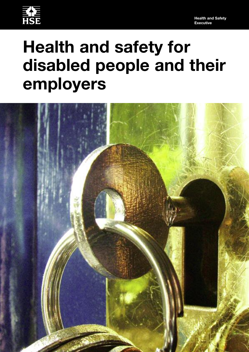

# **Health and safety for disabled people and their employers**

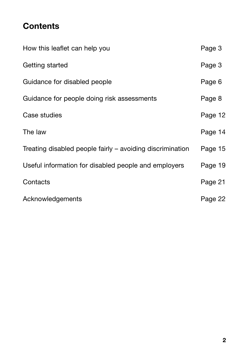# **Contents**

| How this leaflet can help you                             | Page 3  |
|-----------------------------------------------------------|---------|
| Getting started                                           | Page 3  |
| Guidance for disabled people                              | Page 6  |
| Guidance for people doing risk assessments                | Page 8  |
| Case studies                                              | Page 12 |
| The law                                                   | Page 14 |
| Treating disabled people fairly – avoiding discrimination | Page 15 |
| Useful information for disabled people and employers      | Page 19 |
| Contacts                                                  | Page 21 |
| Acknowledgements                                          | Page 22 |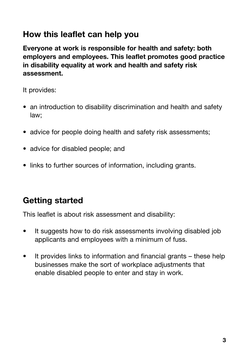# **How this leaflet can help you**

**Everyone at work is responsible for health and safety: both employers and employees. This leaflet promotes good practice in disability equality at work and health and safety risk assessment.**

It provides:

- an introduction to disability discrimination and health and safety law;
- advice for people doing health and safety risk assessments:
- advice for disabled people; and
- links to further sources of information, including grants.

# **Getting started**

This leaflet is about risk assessment and disability:

- It suggests how to do risk assessments involving disabled job applicants and employees with a minimum of fuss.
- It provides links to information and financial grants these help businesses make the sort of workplace adjustments that enable disabled people to enter and stay in work.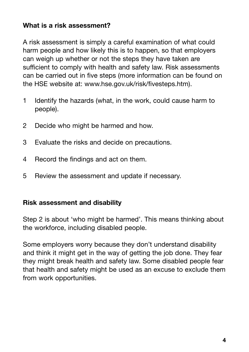#### **What is a risk assessment?**

A risk assessment is simply a careful examination of what could harm people and how likely this is to happen, so that employers can weigh up whether or not the steps they have taken are sufficient to comply with health and safety law. Risk assessments can be carried out in five steps (more information can be found on the HSE website at: www.hse.gov.uk/risk/fivesteps.htm).

- 1 Identify the hazards (what, in the work, could cause harm to people).
- 2 Decide who might be harmed and how.
- 3 Evaluate the risks and decide on precautions.
- 4 Record the findings and act on them.
- 5 Review the assessment and update if necessary.

#### **Risk assessment and disability**

Step 2 is about 'who might be harmed'. This means thinking about the workforce, including disabled people.

Some employers worry because they don't understand disability and think it might get in the way of getting the job done. They fear they might break health and safety law. Some disabled people fear that health and safety might be used as an excuse to exclude them from work opportunities.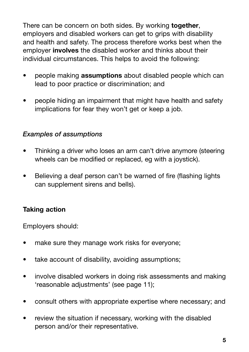There can be concern on both sides. By working **together**, employers and disabled workers can get to grips with disability and health and safety. The process therefore works best when the employer **involves** the disabled worker and thinks about their individual circumstances. This helps to avoid the following:

- people making **assumptions** about disabled people which can lead to poor practice or discrimination; and
- people hiding an impairment that might have health and safety implications for fear they won't get or keep a job.

#### *Examples of assumptions*

- Thinking a driver who loses an arm can't drive anymore (steering wheels can be modified or replaced, eg with a joystick).
- Believing a deaf person can't be warned of fire (flashing lights can supplement sirens and bells).

#### **Taking action**

Employers should:

- make sure they manage work risks for everyone;
- take account of disability, avoiding assumptions;
- involve disabled workers in doing risk assessments and making 'reasonable adjustments' (see page 11);
- consult others with appropriate expertise where necessary; and
- review the situation if necessary, working with the disabled person and/or their representative.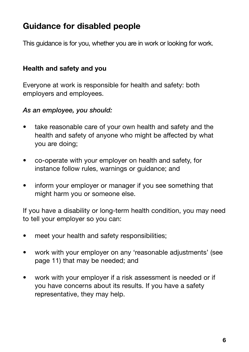# **Guidance for disabled people**

This guidance is for you, whether you are in work or looking for work.

#### **Health and safety and you**

Everyone at work is responsible for health and safety: both employers and employees.

#### *As an employee, you should:*

- take reasonable care of your own health and safety and the health and safety of anyone who might be affected by what you are doing;
- co-operate with your employer on health and safety, for instance follow rules, warnings or guidance; and
- inform your employer or manager if you see something that might harm you or someone else.

If you have a disability or long-term health condition, you may need to tell your employer so you can:

- meet your health and safety responsibilities;
- work with your employer on any 'reasonable adjustments' (see page 11) that may be needed; and
- work with your employer if a risk assessment is needed or if you have concerns about its results. If you have a safety representative, they may help.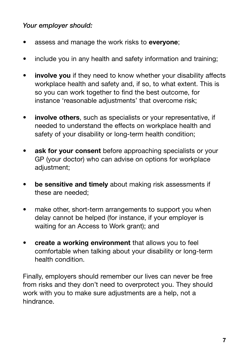#### *Your employer should:*

- assess and manage the work risks to **everyone**;
- include you in any health and safety information and training;
- **involve you** if they need to know whether your disability affects workplace health and safety and, if so, to what extent. This is so you can work together to find the best outcome, for instance 'reasonable adjustments' that overcome risk;
- **involve others**, such as specialists or your representative, if needed to understand the effects on workplace health and safety of your disability or long-term health condition;
- ask for your consent before approaching specialists or your GP (your doctor) who can advise on options for workplace adjustment;
- **be sensitive and timely** about making risk assessments if these are needed;
- make other, short-term arrangements to support you when delay cannot be helped (for instance, if your employer is waiting for an Access to Work grant); and
- **create a working environment** that allows you to feel comfortable when talking about your disability or long-term health condition.

Finally, employers should remember our lives can never be free from risks and they don't need to overprotect you. They should work with you to make sure adjustments are a help, not a hindrance.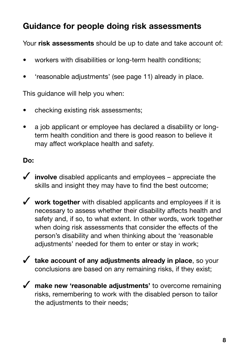# **Guidance for people doing risk assessments**

Your **risk assessments** should be up to date and take account of:

- workers with disabilities or long-term health conditions;
- 'reasonable adjustments' (see page 11) already in place.

This guidance will help you when:

- checking existing risk assessments;
- a job applicant or employee has declared a disability or longterm health condition and there is good reason to believe it may affect workplace health and safety.

#### **Do:**

- ✓ **involve** disabled applicants and employees appreciate the skills and insight they may have to find the best outcome;
- ✓ **work together** with disabled applicants and employees if it is necessary to assess whether their disability affects health and safety and, if so, to what extent. In other words, work together when doing risk assessments that consider the effects of the person's disability and when thinking about the 'reasonable adjustments' needed for them to enter or stay in work;
- ✓ **take account of any adjustments already in place**, so your conclusions are based on any remaining risks, if they exist;
- ✓ **make new 'reasonable adjustments'** to overcome remaining risks, remembering to work with the disabled person to tailor the adjustments to their needs;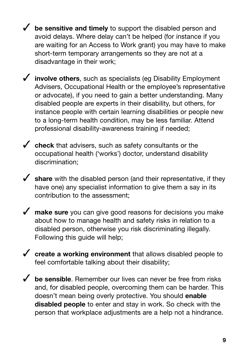✓ **be sensitive and timely** to support the disabled person and avoid delays. Where delay can't be helped (for instance if you are waiting for an Access to Work grant) you may have to make short-term temporary arrangements so they are not at a disadvantage in their work;

✓ **involve others**, such as specialists (eg Disability Employment Advisers, Occupational Health or the employee's representative or advocate), if you need to gain a better understanding. Many disabled people are experts in their disability, but others, for instance people with certain learning disabilities or people new to a long-term health condition, may be less familiar. Attend professional disability-awareness training if needed;

✓ **check** that advisers, such as safety consultants or the occupational health ('works') doctor, understand disability discrimination;

✓ **share** with the disabled person (and their representative, if they have one) any specialist information to give them a say in its contribution to the assessment;

◆ **make sure** you can give good reasons for decisions you make about how to manage health and safety risks in relation to a disabled person, otherwise you risk discriminating illegally. Following this guide will help;

✓ **create a working environment** that allows disabled people to feel comfortable talking about their disability;

◆ **be sensible**. Remember our lives can never be free from risks and, for disabled people, overcoming them can be harder. This doesn't mean being overly protective. You should **enable disabled people** to enter and stay in work. So check with the person that workplace adjustments are a help not a hindrance.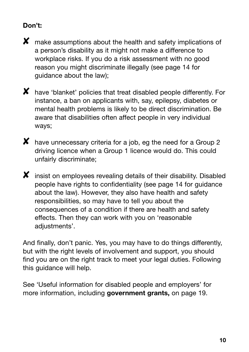## **Don't:**

 $\boldsymbol{X}$  make assumptions about the health and safety implications of a person's disability as it might not make a difference to workplace risks. If you do a risk assessment with no good reason you might discriminate illegally (see page 14 for guidance about the law);



✘ have 'blanket' policies that treat disabled people differently. For instance, a ban on applicants with, say, epilepsy, diabetes or mental health problems is likely to be direct discrimination. Be aware that disabilities often affect people in very individual ways;



X have unnecessary criteria for a job, eg the need for a Group 2 driving licence when a Group 1 licence would do. This could unfairly discriminate;

 $\boldsymbol{X}$  insist on employees revealing details of their disability. Disabled people have rights to confidentiality (see page 14 for guidance about the law). However, they also have health and safety responsibilities, so may have to tell you about the consequences of a condition if there are health and safety effects. Then they can work with you on 'reasonable adjustments'.

And finally, don't panic. Yes, you may have to do things differently, but with the right levels of involvement and support, you should find you are on the right track to meet your legal duties. Following this guidance will help.

See 'Useful information for disabled people and employers' for more information, including **government grants,** on page 19.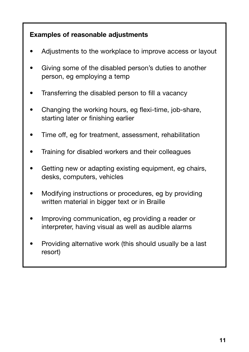## **Examples of reasonable adjustments**

- Adjustments to the workplace to improve access or layout
- Giving some of the disabled person's duties to another person, eg employing a temp
- Transferring the disabled person to fill a vacancy
- Changing the working hours, eg flexi-time, job-share, starting later or finishing earlier
- Time off, eg for treatment, assessment, rehabilitation
- Training for disabled workers and their colleagues
- Getting new or adapting existing equipment, eg chairs, desks, computers, vehicles
- Modifying instructions or procedures, eg by providing written material in bigger text or in Braille
- Improving communication, eg providing a reader or interpreter, having visual as well as audible alarms
- Providing alternative work (this should usually be a last resort)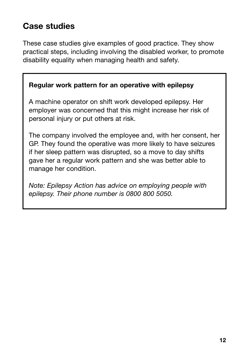# **Case studies**

These case studies give examples of good practice. They show practical steps, including involving the disabled worker, to promote disability equality when managing health and safety.

#### **Regular work pattern for an operative with epilepsy**

A machine operator on shift work developed epilepsy. Her employer was concerned that this might increase her risk of personal injury or put others at risk.

The company involved the employee and, with her consent, her GP. They found the operative was more likely to have seizures if her sleep pattern was disrupted, so a move to day shifts gave her a regular work pattern and she was better able to manage her condition.

*Note: Epilepsy Action has advice on employing people with epilepsy. Their phone number is 0800 800 5050.*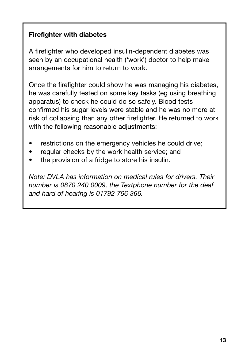## **Firefighter with diabetes**

A firefighter who developed insulin-dependent diabetes was seen by an occupational health ('work') doctor to help make arrangements for him to return to work.

Once the firefighter could show he was managing his diabetes, he was carefully tested on some key tasks (eg using breathing apparatus) to check he could do so safely. Blood tests confirmed his sugar levels were stable and he was no more at risk of collapsing than any other firefighter. He returned to work with the following reasonable adjustments:

- restrictions on the emergency vehicles he could drive;
- regular checks by the work health service; and
- the provision of a fridge to store his insulin.

*Note: DVLA has information on medical rules for drivers. Their number is 0870 240 0009, the Textphone number for the deaf and hard of hearing is 01792 766 366.*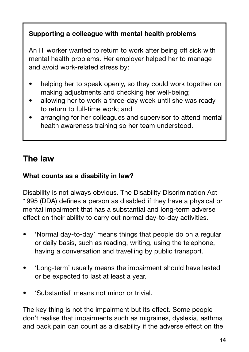# **Supporting a colleague with mental health problems**

An IT worker wanted to return to work after being off sick with mental health problems. Her employer helped her to manage and avoid work-related stress by:

- helping her to speak openly, so they could work together on making adjustments and checking her well-being;
- allowing her to work a three-day week until she was ready to return to full-time work; and
- arranging for her colleagues and supervisor to attend mental health awareness training so her team understood.

# **The law**

## **What counts as a disability in law?**

Disability is not always obvious. The Disability Discrimination Act 1995 (DDA) defines a person as disabled if they have a physical or mental impairment that has a substantial and long-term adverse effect on their ability to carry out normal day-to-day activities.

- 'Normal day-to-day' means things that people do on a regular or daily basis, such as reading, writing, using the telephone, having a conversation and travelling by public transport.
- 'Long-term' usually means the impairment should have lasted or be expected to last at least a year.
- 'Substantial' means not minor or trivial.

The key thing is not the impairment but its effect. Some people don't realise that impairments such as migraines, dyslexia, asthma and back pain can count as a disability if the adverse effect on the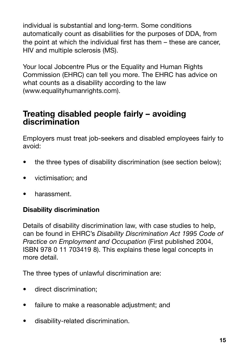individual is substantial and long-term. Some conditions automatically count as disabilities for the purposes of DDA, from the point at which the individual first has them – these are cancer, HIV and multiple sclerosis (MS).

Your local Jobcentre Plus or the Equality and Human Rights Commission (EHRC) can tell you more. The EHRC has advice on what counts as a disability according to the law (www.equalityhumanrights.com).

# **Treating disabled people fairly – avoiding discrimination**

Employers must treat job-seekers and disabled employees fairly to avoid:

- the three types of disability discrimination (see section below);
- victimisation; and
- harassment.

#### **Disability discrimination**

Details of disability discrimination law, with case studies to help, can be found in EHRC's *Disability Discrimination Act 1995 Code of Practice on Employment and Occupation* (First published 2004, ISBN 978 0 11 703419 8). This explains these legal concepts in more detail.

The three types of unlawful discrimination are:

- direct discrimination;
- failure to make a reasonable adjustment; and
- disability-related discrimination.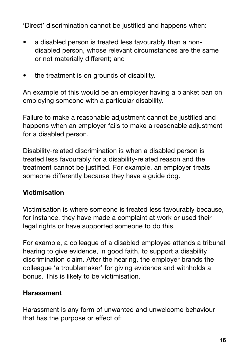'Direct' discrimination cannot be justified and happens when:

- a disabled person is treated less favourably than a nondisabled person, whose relevant circumstances are the same or not materially different; and
- the treatment is on grounds of disability.

An example of this would be an employer having a blanket ban on employing someone with a particular disability.

Failure to make a reasonable adjustment cannot be justified and happens when an employer fails to make a reasonable adjustment for a disabled person.

Disability-related discrimination is when a disabled person is treated less favourably for a disability-related reason and the treatment cannot be justified. For example, an employer treats someone differently because they have a guide dog.

#### **Victimisation**

Victimisation is where someone is treated less favourably because, for instance, they have made a complaint at work or used their legal rights or have supported someone to do this.

For example, a colleague of a disabled employee attends a tribunal hearing to give evidence, in good faith, to support a disability discrimination claim. After the hearing, the employer brands the colleague 'a troublemaker' for giving evidence and withholds a bonus. This is likely to be victimisation.

#### **Harassment**

Harassment is any form of unwanted and unwelcome behaviour that has the purpose or effect of: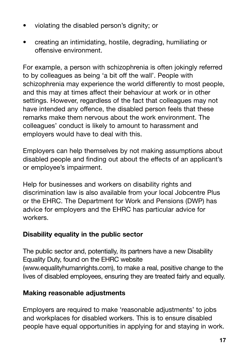- violating the disabled person's dignity; or
- creating an intimidating, hostile, degrading, humiliating or offensive environment.

For example, a person with schizophrenia is often jokingly referred to by colleagues as being 'a bit off the wall'. People with schizophrenia may experience the world differently to most people, and this may at times affect their behaviour at work or in other settings. However, regardless of the fact that colleagues may not have intended any offence, the disabled person feels that these remarks make them nervous about the work environment. The colleagues' conduct is likely to amount to harassment and employers would have to deal with this.

Employers can help themselves by not making assumptions about disabled people and finding out about the effects of an applicant's or employee's impairment.

Help for businesses and workers on disability rights and discrimination law is also available from your local Jobcentre Plus or the EHRC. The Department for Work and Pensions (DWP) has advice for employers and the EHRC has particular advice for workers.

#### **Disability equality in the public sector**

The public sector and, potentially, its partners have a new Disability Equality Duty, found on the EHRC website (www.equalityhumanrights.com), to make a real, positive change to the lives of disabled employees, ensuring they are treated fairly and equally.

## **Making reasonable adjustments**

Employers are required to make 'reasonable adjustments' to jobs and workplaces for disabled workers. This is to ensure disabled people have equal opportunities in applying for and staying in work.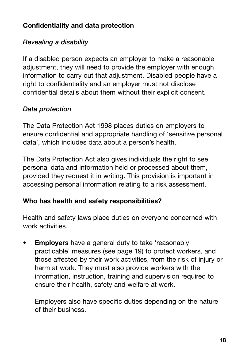#### **Confidentiality and data protection**

## *Revealing a disability*

If a disabled person expects an employer to make a reasonable adjustment, they will need to provide the employer with enough information to carry out that adjustment. Disabled people have a right to confidentiality and an employer must not disclose confidential details about them without their explicit consent.

## *Data protection*

The Data Protection Act 1998 places duties on employers to ensure confidential and appropriate handling of 'sensitive personal data', which includes data about a person's health.

The Data Protection Act also gives individuals the right to see personal data and information held or processed about them, provided they request it in writing. This provision is important in accessing personal information relating to a risk assessment.

#### **Who has health and safety responsibilities?**

Health and safety laws place duties on everyone concerned with work activities.

• **Employers** have a general duty to take 'reasonably practicable' measures (see page 19) to protect workers, and those affected by their work activities, from the risk of injury or harm at work. They must also provide workers with the information, instruction, training and supervision required to ensure their health, safety and welfare at work.

Employers also have specific duties depending on the nature of their business.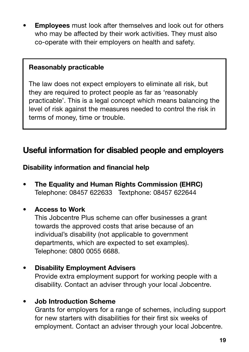• **Employees** must look after themselves and look out for others who may be affected by their work activities. They must also co-operate with their employers on health and safety.

#### **Reasonably practicable**

The law does not expect employers to eliminate all risk, but they are required to protect people as far as 'reasonably practicable'. This is a legal concept which means balancing the level of risk against the measures needed to control the risk in terms of money, time or trouble.

# **Useful information for disabled people and employers**

#### **Disability information and financial help**

**• The Equality and Human Rights Commission (EHRC)** Telephone: 08457 622633 Textphone: 08457 622644

#### **• Access to Work**

This Jobcentre Plus scheme can offer businesses a grant towards the approved costs that arise because of an individual's disability (not applicable to government departments, which are expected to set examples). Telephone: 0800 0055 6688.

**• Disability Employment Advisers**

Provide extra employment support for working people with a disability. Contact an adviser through your local Jobcentre.

#### **• Job Introduction Scheme**

Grants for employers for a range of schemes, including support for new starters with disabilities for their first six weeks of employment. Contact an adviser through your local Jobcentre.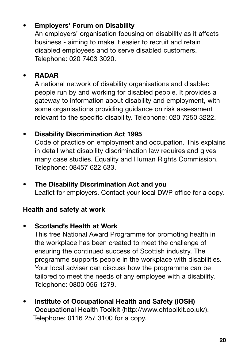# **• Employers' Forum on Disability**

An employers' organisation focusing on disability as it affects business - aiming to make it easier to recruit and retain disabled employees and to serve disabled customers. Telephone: 020 7403 3020.

# **• RADAR**

A national network of disability organisations and disabled people run by and working for disabled people. It provides a gateway to information about disability and employment, with some organisations providing guidance on risk assessment relevant to the specific disability. Telephone: 020 7250 3222.

# **• Disability Discrimination Act 1995**

Code of practice on employment and occupation. This explains in detail what disability discrimination law requires and gives many case studies. Equality and Human Rights Commission. Telephone: 08457 622 633.

**• The Disability Discrimination Act and you** Leaflet for employers. Contact your local DWP office for a copy.

## **Health and safety at work**

# **• Scotland's Health at Work**

This free National Award Programme for promoting health in the workplace has been created to meet the challenge of ensuring the continued success of Scottish industry. The programme supports people in the workplace with disabilities. Your local adviser can discuss how the programme can be tailored to meet the needs of any employee with a disability. Telephone: 0800 056 1279.

**• Institute of Occupational Health and Safety (IOSH) Occupational Health Toolkit** (http://www.ohtoolkit.co.uk/). Telephone: 0116 257 3100 for a copy.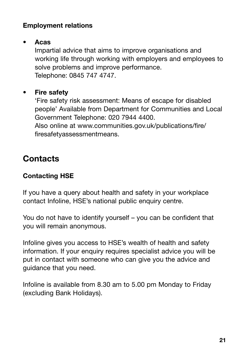#### **Employment relations**

#### **• Acas**

Impartial advice that aims to improve organisations and working life through working with employers and employees to solve problems and improve performance. Telephone: 0845 747 4747.

# **• Fire safety**

'Fire safety risk assessment: Means of escape for disabled people' Available from Department for Communities and Local Government Telephone: 020 7944 4400.

Also online at www.communities.gov.uk/publications/fire/ firesafetyassessmentmeans.

# **Contacts**

# **Contacting HSE**

If you have a query about health and safety in your workplace contact Infoline, HSE's national public enquiry centre.

You do not have to identify yourself – you can be confident that you will remain anonymous.

Infoline gives you access to HSE's wealth of health and safety information. If your enquiry requires specialist advice you will be put in contact with someone who can give you the advice and guidance that you need.

Infoline is available from 8.30 am to 5.00 pm Monday to Friday (excluding Bank Holidays).